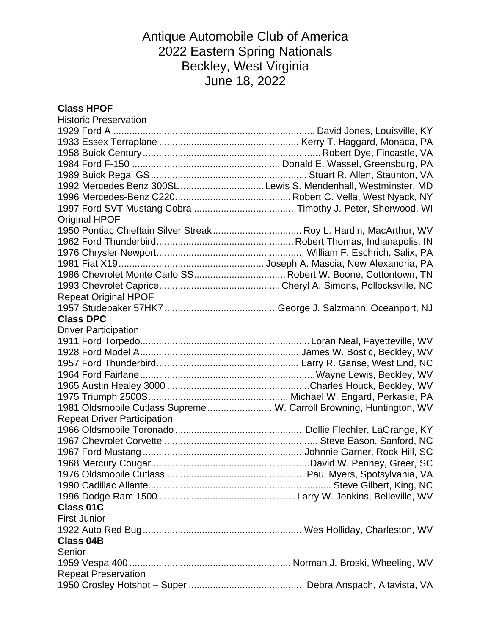# Antique Automobile Club of America 2022 Eastern Spring Nationals Beckley, West Virginia June 18, 2022

### **Class HPOF**

| <b>Historic Preservation</b>                                        |  |
|---------------------------------------------------------------------|--|
|                                                                     |  |
|                                                                     |  |
|                                                                     |  |
|                                                                     |  |
|                                                                     |  |
| 1992 Mercedes Benz 300SL Lewis S. Mendenhall, Westminster, MD       |  |
|                                                                     |  |
|                                                                     |  |
| Original HPOF                                                       |  |
| 1950 Pontiac Chieftain Silver Streak Roy L. Hardin, MacArthur, WV   |  |
|                                                                     |  |
|                                                                     |  |
|                                                                     |  |
| 1986 Chevrolet Monte Carlo SS Robert W. Boone, Cottontown, TN       |  |
|                                                                     |  |
| <b>Repeat Original HPOF</b>                                         |  |
|                                                                     |  |
| <b>Class DPC</b>                                                    |  |
| <b>Driver Participation</b>                                         |  |
|                                                                     |  |
|                                                                     |  |
|                                                                     |  |
|                                                                     |  |
|                                                                     |  |
|                                                                     |  |
| 1981 Oldsmobile Cutlass Supreme W. Carroll Browning, Huntington, WV |  |
| <b>Repeat Driver Participation</b>                                  |  |
|                                                                     |  |
|                                                                     |  |
|                                                                     |  |
|                                                                     |  |
|                                                                     |  |
|                                                                     |  |
|                                                                     |  |
| <b>Class 01C</b>                                                    |  |
| <b>First Junior</b>                                                 |  |
|                                                                     |  |
| <b>Class 04B</b>                                                    |  |
| Senior                                                              |  |
|                                                                     |  |
| <b>Repeat Preservation</b>                                          |  |
|                                                                     |  |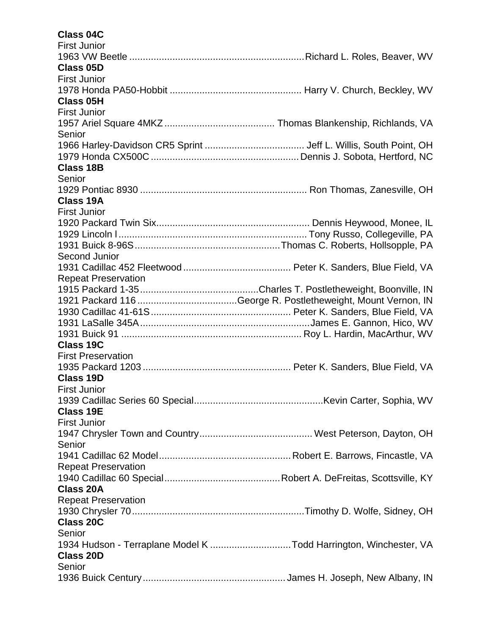## **Class 04C**

| <b>First Junior</b>                                              |  |
|------------------------------------------------------------------|--|
|                                                                  |  |
| Class 05D                                                        |  |
| <b>First Junior</b>                                              |  |
|                                                                  |  |
| <b>Class 05H</b>                                                 |  |
| <b>First Junior</b>                                              |  |
|                                                                  |  |
| Senior                                                           |  |
|                                                                  |  |
|                                                                  |  |
| <b>Class 18B</b>                                                 |  |
| Senior                                                           |  |
|                                                                  |  |
| <b>Class 19A</b>                                                 |  |
| <b>First Junior</b>                                              |  |
|                                                                  |  |
|                                                                  |  |
|                                                                  |  |
| Second Junior                                                    |  |
|                                                                  |  |
| <b>Repeat Preservation</b>                                       |  |
|                                                                  |  |
|                                                                  |  |
|                                                                  |  |
|                                                                  |  |
|                                                                  |  |
| <b>Class 19C</b>                                                 |  |
| <b>First Preservation</b>                                        |  |
|                                                                  |  |
| <b>Class 19D</b>                                                 |  |
| <b>First Junior</b>                                              |  |
|                                                                  |  |
| <b>Class 19E</b>                                                 |  |
| <b>First Junior</b>                                              |  |
|                                                                  |  |
| Senior                                                           |  |
|                                                                  |  |
| <b>Repeat Preservation</b>                                       |  |
|                                                                  |  |
| <b>Class 20A</b>                                                 |  |
| <b>Repeat Preservation</b>                                       |  |
|                                                                  |  |
| <b>Class 20C</b>                                                 |  |
| Senior                                                           |  |
| 1934 Hudson - Terraplane Model K Todd Harrington, Winchester, VA |  |
| <b>Class 20D</b>                                                 |  |
| Senior                                                           |  |
|                                                                  |  |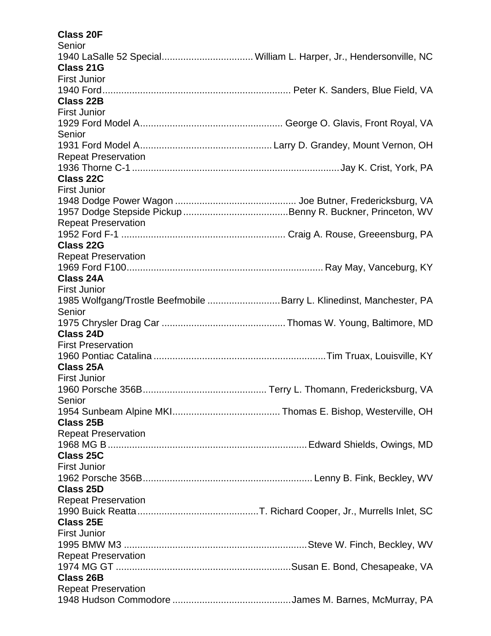#### **Class 20F Sopier**

| <b>PELIIOI</b>                                                       |  |
|----------------------------------------------------------------------|--|
| 1940 LaSalle 52 Special William L. Harper, Jr., Hendersonville, NC   |  |
| <b>Class 21G</b>                                                     |  |
| <b>First Junior</b>                                                  |  |
|                                                                      |  |
| <b>Class 22B</b>                                                     |  |
| <b>First Junior</b>                                                  |  |
|                                                                      |  |
| Senior                                                               |  |
|                                                                      |  |
| <b>Repeat Preservation</b>                                           |  |
|                                                                      |  |
| <b>Class 22C</b>                                                     |  |
| <b>First Junior</b>                                                  |  |
|                                                                      |  |
|                                                                      |  |
|                                                                      |  |
| <b>Repeat Preservation</b>                                           |  |
|                                                                      |  |
| <b>Class 22G</b>                                                     |  |
| <b>Repeat Preservation</b>                                           |  |
|                                                                      |  |
| <b>Class 24A</b>                                                     |  |
| <b>First Junior</b>                                                  |  |
| 1985 Wolfgang/Trostle Beefmobile Barry L. Klinedinst, Manchester, PA |  |
| Senior                                                               |  |
|                                                                      |  |
| <b>Class 24D</b>                                                     |  |
| <b>First Preservation</b>                                            |  |
|                                                                      |  |
| <b>Class 25A</b>                                                     |  |
| <b>First Junior</b>                                                  |  |
|                                                                      |  |
| Senior                                                               |  |
|                                                                      |  |
| <b>Class 25B</b>                                                     |  |
| <b>Repeat Preservation</b>                                           |  |
|                                                                      |  |
| Class 25C                                                            |  |
| <b>First Junior</b>                                                  |  |
|                                                                      |  |
|                                                                      |  |
| <b>Class 25D</b>                                                     |  |
| <b>Repeat Preservation</b>                                           |  |
|                                                                      |  |
| <b>Class 25E</b>                                                     |  |
| <b>First Junior</b>                                                  |  |
|                                                                      |  |
| <b>Repeat Preservation</b>                                           |  |
|                                                                      |  |
| <b>Class 26B</b>                                                     |  |
| <b>Repeat Preservation</b>                                           |  |
|                                                                      |  |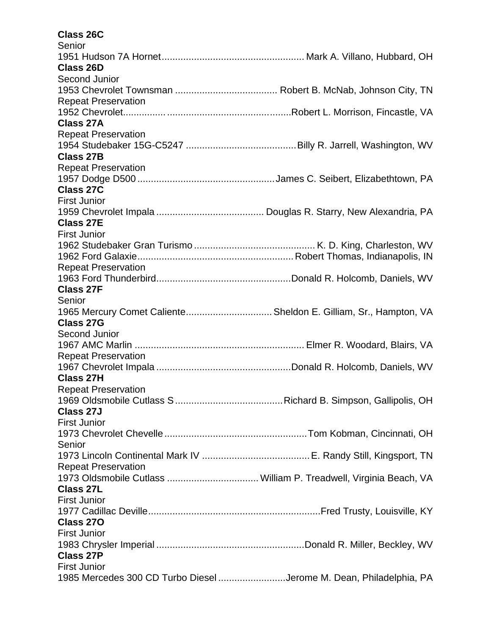### **Class 26C**

| Senior                                                             |  |
|--------------------------------------------------------------------|--|
|                                                                    |  |
| <b>Class 26D</b>                                                   |  |
| Second Junior                                                      |  |
|                                                                    |  |
| <b>Repeat Preservation</b>                                         |  |
|                                                                    |  |
| <b>Class 27A</b>                                                   |  |
| <b>Repeat Preservation</b>                                         |  |
|                                                                    |  |
| <b>Class 27B</b>                                                   |  |
| <b>Repeat Preservation</b>                                         |  |
|                                                                    |  |
| <b>Class 27C</b>                                                   |  |
| <b>First Junior</b>                                                |  |
|                                                                    |  |
| <b>Class 27E</b>                                                   |  |
| <b>First Junior</b>                                                |  |
|                                                                    |  |
|                                                                    |  |
|                                                                    |  |
| <b>Repeat Preservation</b>                                         |  |
|                                                                    |  |
| <b>Class 27F</b>                                                   |  |
| Senior                                                             |  |
| 1965 Mercury Comet Caliente Sheldon E. Gilliam, Sr., Hampton, VA   |  |
| <b>Class 27G</b>                                                   |  |
| <b>Second Junior</b>                                               |  |
|                                                                    |  |
| <b>Repeat Preservation</b>                                         |  |
|                                                                    |  |
| <b>Class 27H</b>                                                   |  |
| <b>Repeat Preservation</b>                                         |  |
|                                                                    |  |
| Class 27J                                                          |  |
| <b>First Junior</b>                                                |  |
|                                                                    |  |
| Senior                                                             |  |
|                                                                    |  |
| <b>Repeat Preservation</b>                                         |  |
|                                                                    |  |
| <b>Class 27L</b>                                                   |  |
| <b>First Junior</b>                                                |  |
|                                                                    |  |
| Class 270                                                          |  |
| <b>First Junior</b>                                                |  |
|                                                                    |  |
| <b>Class 27P</b>                                                   |  |
| <b>First Junior</b>                                                |  |
| 1985 Mercedes 300 CD Turbo Diesel Jerome M. Dean, Philadelphia, PA |  |
|                                                                    |  |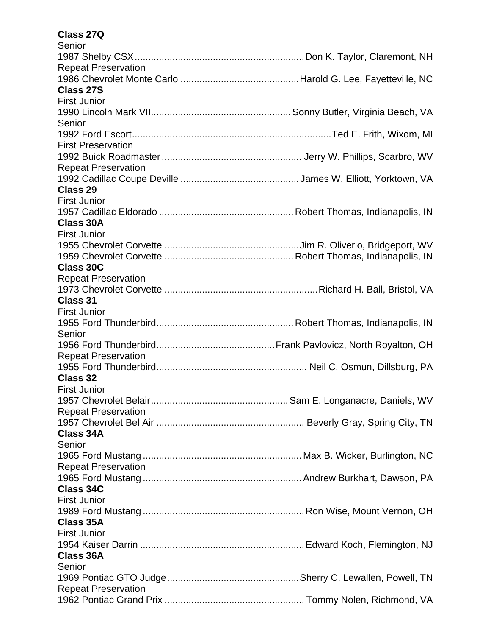#### **Class 27Q Sopier**

| <b>PELIIOI</b>             |  |
|----------------------------|--|
|                            |  |
| <b>Repeat Preservation</b> |  |
|                            |  |
| <b>Class 27S</b>           |  |
| <b>First Junior</b>        |  |
|                            |  |
| Senior                     |  |
|                            |  |
| <b>First Preservation</b>  |  |
|                            |  |
| <b>Repeat Preservation</b> |  |
|                            |  |
| Class 29                   |  |
| <b>First Junior</b>        |  |
|                            |  |
| <b>Class 30A</b>           |  |
| <b>First Junior</b>        |  |
|                            |  |
|                            |  |
| <b>Class 30C</b>           |  |
| <b>Repeat Preservation</b> |  |
|                            |  |
| <b>Class 31</b>            |  |
| <b>First Junior</b>        |  |
|                            |  |
| Senior                     |  |
|                            |  |
| <b>Repeat Preservation</b> |  |
|                            |  |
| <b>Class 32</b>            |  |
| <b>First Junior</b>        |  |
|                            |  |
| <b>Repeat Preservation</b> |  |
|                            |  |
| <b>Class 34A</b>           |  |
| Senior                     |  |
|                            |  |
| <b>Repeat Preservation</b> |  |
|                            |  |
| <b>Class 34C</b>           |  |
| <b>First Junior</b>        |  |
|                            |  |
| <b>Class 35A</b>           |  |
| <b>First Junior</b>        |  |
|                            |  |
| <b>Class 36A</b>           |  |
|                            |  |
| Senior                     |  |
|                            |  |
| <b>Repeat Preservation</b> |  |
|                            |  |